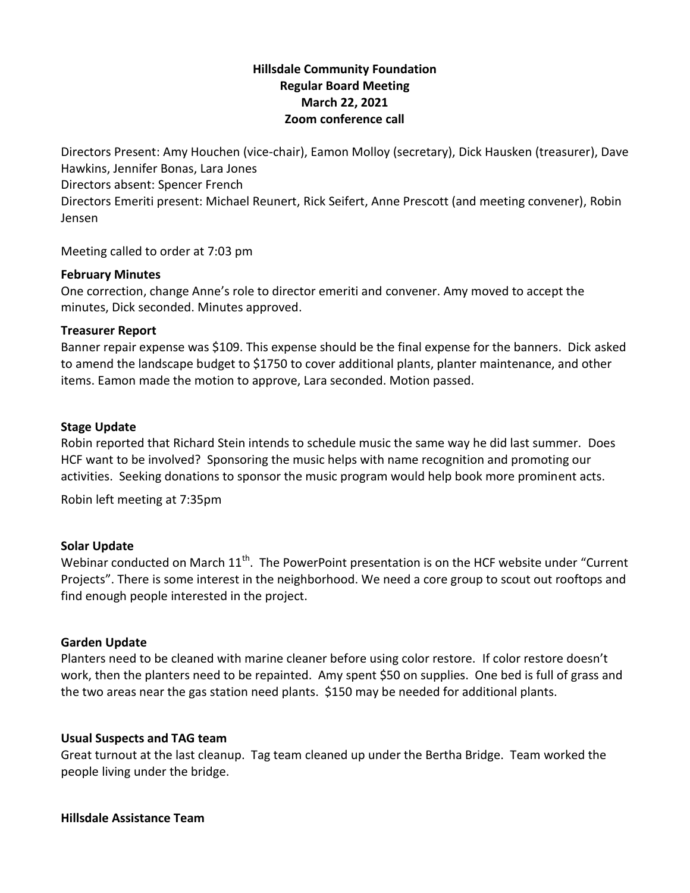# **Hillsdale Community Foundation Regular Board Meeting March 22, 2021 Zoom conference call**

Directors Present: Amy Houchen (vice-chair), Eamon Molloy (secretary), Dick Hausken (treasurer), Dave Hawkins, Jennifer Bonas, Lara Jones Directors absent: Spencer French Directors Emeriti present: Michael Reunert, Rick Seifert, Anne Prescott (and meeting convener), Robin Jensen

Meeting called to order at 7:03 pm

## **February Minutes**

One correction, change Anne's role to director emeriti and convener. Amy moved to accept the minutes, Dick seconded. Minutes approved.

## **Treasurer Report**

Banner repair expense was \$109. This expense should be the final expense for the banners. Dick asked to amend the landscape budget to \$1750 to cover additional plants, planter maintenance, and other items. Eamon made the motion to approve, Lara seconded. Motion passed.

## **Stage Update**

Robin reported that Richard Stein intends to schedule music the same way he did last summer. Does HCF want to be involved? Sponsoring the music helps with name recognition and promoting our activities. Seeking donations to sponsor the music program would help book more prominent acts.

Robin left meeting at 7:35pm

# **Solar Update**

Webinar conducted on March 11<sup>th</sup>. The PowerPoint presentation is on the HCF website under "Current Projects". There is some interest in the neighborhood. We need a core group to scout out rooftops and find enough people interested in the project.

## **Garden Update**

Planters need to be cleaned with marine cleaner before using color restore. If color restore doesn't work, then the planters need to be repainted. Amy spent \$50 on supplies. One bed is full of grass and the two areas near the gas station need plants. \$150 may be needed for additional plants.

# **Usual Suspects and TAG team**

Great turnout at the last cleanup. Tag team cleaned up under the Bertha Bridge. Team worked the people living under the bridge.

## **Hillsdale Assistance Team**